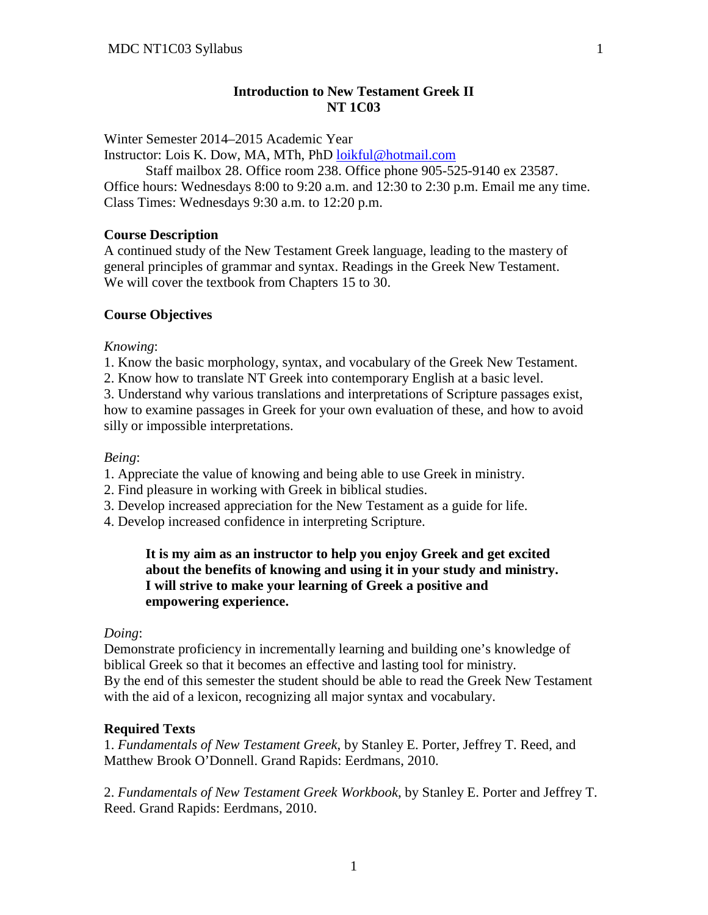# **Introduction to New Testament Greek II NT 1C03**

Winter Semester 2014–2015 Academic Year

Instructor: Lois K. Dow, MA, MTh, PhD [loikful@hotmail.com](mailto:loikful@hotmail.com)

Staff mailbox 28. Office room 238. Office phone 905-525-9140 ex 23587. Office hours: Wednesdays 8:00 to 9:20 a.m. and 12:30 to 2:30 p.m. Email me any time. Class Times: Wednesdays 9:30 a.m. to 12:20 p.m.

#### **Course Description**

A continued study of the New Testament Greek language, leading to the mastery of general principles of grammar and syntax. Readings in the Greek New Testament. We will cover the textbook from Chapters 15 to 30.

## **Course Objectives**

*Knowing*:

1. Know the basic morphology, syntax, and vocabulary of the Greek New Testament.

2. Know how to translate NT Greek into contemporary English at a basic level.

3. Understand why various translations and interpretations of Scripture passages exist, how to examine passages in Greek for your own evaluation of these, and how to avoid silly or impossible interpretations.

## *Being*:

1. Appreciate the value of knowing and being able to use Greek in ministry.

- 2. Find pleasure in working with Greek in biblical studies.
- 3. Develop increased appreciation for the New Testament as a guide for life.
- 4. Develop increased confidence in interpreting Scripture.

# **It is my aim as an instructor to help you enjoy Greek and get excited about the benefits of knowing and using it in your study and ministry. I will strive to make your learning of Greek a positive and empowering experience.**

#### *Doing*:

Demonstrate proficiency in incrementally learning and building one's knowledge of biblical Greek so that it becomes an effective and lasting tool for ministry. By the end of this semester the student should be able to read the Greek New Testament with the aid of a lexicon, recognizing all major syntax and vocabulary.

#### **Required Texts**

1. *Fundamentals of New Testament Greek*, by Stanley E. Porter, Jeffrey T. Reed, and Matthew Brook O'Donnell. Grand Rapids: Eerdmans, 2010.

2. *Fundamentals of New Testament Greek Workbook*, by Stanley E. Porter and Jeffrey T. Reed. Grand Rapids: Eerdmans, 2010.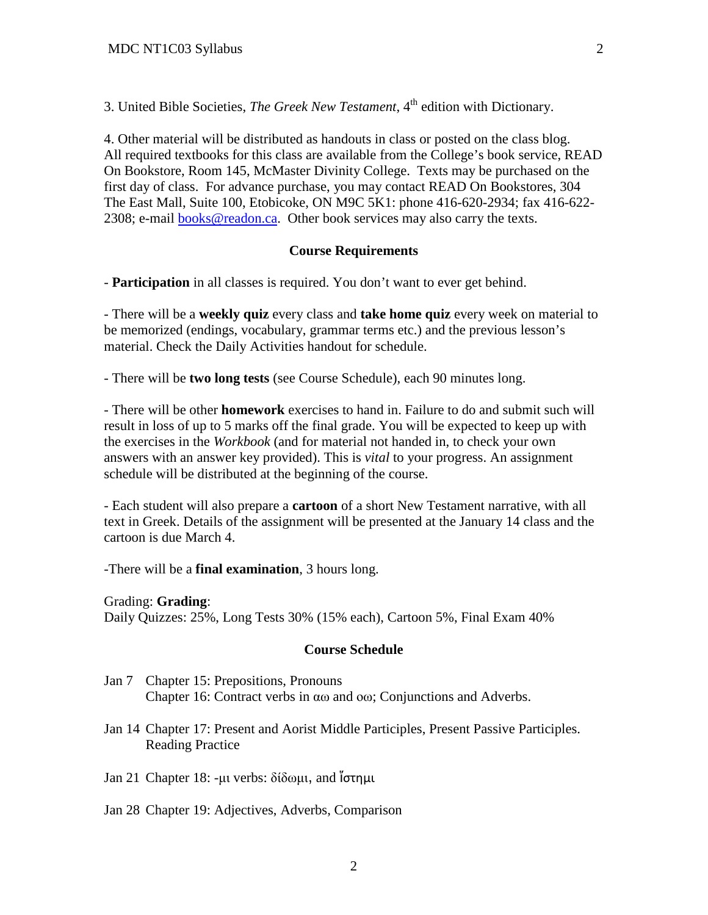3. United Bible Societies, *The Greek New Testament*, 4<sup>th</sup> edition with Dictionary.

4. Other material will be distributed as handouts in class or posted on the class blog. All required textbooks for this class are available from the College's book service, READ On Bookstore, Room 145, McMaster Divinity College. Texts may be purchased on the first day of class. For advance purchase, you may contact READ On Bookstores, 304 The East Mall, Suite 100, Etobicoke, ON M9C 5K1: phone 416-620-2934; fax 416-622 2308; e-mail [books@readon.ca.](mailto:books@readon.ca) Other book services may also carry the texts.

## **Course Requirements**

- **Participation** in all classes is required. You don't want to ever get behind.

- There will be a **weekly quiz** every class and **take home quiz** every week on material to be memorized (endings, vocabulary, grammar terms etc.) and the previous lesson's material. Check the Daily Activities handout for schedule.

- There will be **two long tests** (see Course Schedule), each 90 minutes long.

- There will be other **homework** exercises to hand in. Failure to do and submit such will result in loss of up to 5 marks off the final grade. You will be expected to keep up with the exercises in the *Workbook* (and for material not handed in, to check your own answers with an answer key provided). This is *vital* to your progress. An assignment schedule will be distributed at the beginning of the course.

- Each student will also prepare a **cartoon** of a short New Testament narrative, with all text in Greek. Details of the assignment will be presented at the January 14 class and the cartoon is due March 4.

-There will be a **final examination**, 3 hours long.

Grading: **Grading**: Daily Quizzes: 25%, Long Tests 30% (15% each), Cartoon 5%, Final Exam 40%

#### **Course Schedule**

- Jan 7 Chapter 15: Prepositions, Pronouns Chapter 16: Contract verbs in αω and οω; Conjunctions and Adverbs.
- Jan 14 Chapter 17: Present and Aorist Middle Participles, Present Passive Participles. Reading Practice
- Jan 21 Chapter 18: -μι verbs: δίδωμι, and ἵστημι
- Jan 28 Chapter 19: Adjectives, Adverbs, Comparison